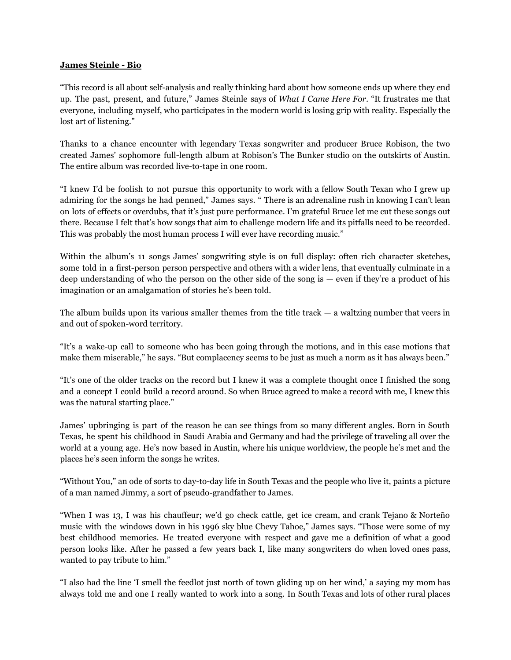## **James Steinle - Bio**

"This record is all about self-analysis and really thinking hard about how someone ends up where they end up. The past, present, and future," James Steinle says of *What I Came Here For*. "It frustrates me that everyone, including myself, who participates in the modern world is losing grip with reality. Especially the lost art of listening."

Thanks to a chance encounter with legendary Texas songwriter and producer Bruce Robison, the two created James' sophomore full-length album at Robison's The Bunker studio on the outskirts of Austin. The entire album was recorded live-to-tape in one room.

"I knew I'd be foolish to not pursue this opportunity to work with a fellow South Texan who I grew up admiring for the songs he had penned," James says. " There is an adrenaline rush in knowing I can't lean on lots of effects or overdubs, that it's just pure performance. I'm grateful Bruce let me cut these songs out there. Because I felt that's how songs that aim to challenge modern life and its pitfalls need to be recorded. This was probably the most human process I will ever have recording music."

Within the album's 11 songs James' songwriting style is on full display: often rich character sketches, some told in a first-person person perspective and others with a wider lens, that eventually culminate in a deep understanding of who the person on the other side of the song is — even if they're a product of his imagination or an amalgamation of stories he's been told.

The album builds upon its various smaller themes from the title track  $-$  a waltzing number that veers in and out of spoken-word territory.

"It's a wake-up call to someone who has been going through the motions, and in this case motions that make them miserable," he says. "But complacency seems to be just as much a norm as it has always been."

"It's one of the older tracks on the record but I knew it was a complete thought once I finished the song and a concept I could build a record around. So when Bruce agreed to make a record with me, I knew this was the natural starting place."

James' upbringing is part of the reason he can see things from so many different angles. Born in South Texas, he spent his childhood in Saudi Arabia and Germany and had the privilege of traveling all over the world at a young age. He's now based in Austin, where his unique worldview, the people he's met and the places he's seen inform the songs he writes.

"Without You," an ode of sorts to day-to-day life in South Texas and the people who live it, paints a picture of a man named Jimmy, a sort of pseudo-grandfather to James.

"When I was 13, I was his chauffeur; we'd go check cattle, get ice cream, and crank Tejano & Norteño music with the windows down in his 1996 sky blue Chevy Tahoe," James says. "Those were some of my best childhood memories. He treated everyone with respect and gave me a definition of what a good person looks like. After he passed a few years back I, like many songwriters do when loved ones pass, wanted to pay tribute to him."

"I also had the line 'I smell the feedlot just north of town gliding up on her wind,' a saying my mom has always told me and one I really wanted to work into a song. In South Texas and lots of other rural places